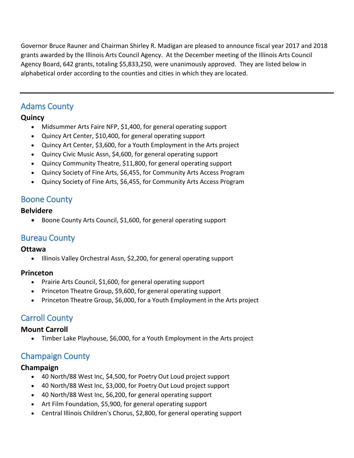Governor Bruce Rauner and Chairman Shirley R. Madigan are pleased to announce fiscal year 2017 and 2018 grants awarded by the Illinois Arts Council Agency. At the December meeting of the Illinois Arts Council Agency Board, 642 grants, totaling \$5,833,250, were unanimously approved. They are listed below in alphabetical order according to the counties and cities in which they are located.

## Adams County

## **Quincy**

- Midsummer Arts Faire NFP, \$1,400, for general operating support
- Quincy Art Center, \$10,400, for general operating support
- Quincy Art Center, \$3,600, for a Youth Employment in the Arts project
- Quincy Civic Music Assn, \$4,600, for general operating support
- Quincy Community Theatre, \$11,800, for general operating support
- Quincy Society of Fine Arts, \$6,455, for Community Arts Access Program
- Quincy Society of Fine Arts, \$6,455, for Community Arts Access Program

# Boone County

## **Belvidere**

• Boone County Arts Council, \$1,600, for general operating support

## Bureau County

## **Ottawa**

• Illinois Valley Orchestral Assn, \$2,200, for general operating support

## **Princeton**

- Prairie Arts Council, \$1,600, for general operating support
- Princeton Theatre Group, \$9,600, for general operating support
- Princeton Theatre Group, \$6,000, for a Youth Employment in the Arts project

# Carroll County

## **Mount Carroll**

Timber Lake Playhouse, \$6,000, for a Youth Employment in the Arts project

# Champaign County

## **Champaign**

- 40 North/88 West Inc, \$4,500, for Poetry Out Loud project support
- 40 North/88 West Inc, \$3,000, for Poetry Out Loud project support
- 40 North/88 West Inc, \$6,200, for general operating support
- Art Film Foundation, \$5,900, for general operating support
- Central Illinois Children's Chorus, \$2,800, for general operating support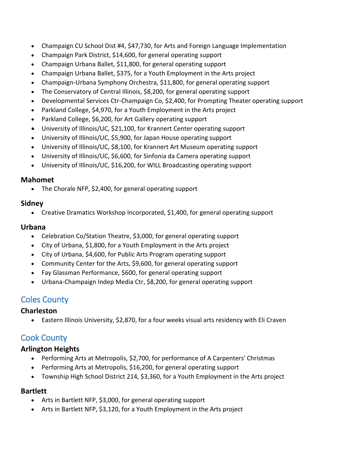- Champaign CU School Dist #4, \$47,730, for Arts and Foreign Language Implementation
- Champaign Park District, \$14,600, for general operating support
- Champaign Urbana Ballet, \$11,800, for general operating support
- Champaign Urbana Ballet, \$375, for a Youth Employment in the Arts project
- Champaign-Urbana Symphony Orchestra, \$11,800, for general operating support
- The Conservatory of Central Illinois, \$8,200, for general operating support
- Developmental Services Ctr-Champaign Co, \$2,400, for Prompting Theater operating support
- Parkland College, \$4,970, for a Youth Employment in the Arts project
- Parkland College, \$6,200, for Art Gallery operating support
- University of Illinois/UC, \$21,100, for Krannert Center operating support
- University of Illinois/UC, \$5,900, for Japan House operating support
- University of Illinois/UC, \$8,100, for Krannert Art Museum operating support
- University of Illinois/UC, \$6,600, for Sinfonia da Camera operating support
- University of Illinois/UC, \$16,200, for WILL Broadcasting operating support

#### **Mahomet**

• The Chorale NFP, \$2,400, for general operating support

## **Sidney**

Creative Dramatics Workshop Incorporated, \$1,400, for general operating support

## **Urbana**

- Celebration Co/Station Theatre, \$3,000, for general operating support
- City of Urbana, \$1,800, for a Youth Employment in the Arts project
- City of Urbana, \$4,600, for Public Arts Program operating support
- Community Center for the Arts, \$9,600, for general operating support
- Fay Glassman Performance, \$600, for general operating support
- Urbana-Champaign Indep Media Ctr, \$8,200, for general operating support

## Coles County

## **Charleston**

Eastern Illinois University, \$2,870, for a four weeks visual arts residency with Eli Craven

## Cook County

## **Arlington Heights**

- Performing Arts at Metropolis, \$2,700, for performance of A Carpenters' Christmas
- Performing Arts at Metropolis, \$16,200, for general operating support
- Township High School District 214, \$3,360, for a Youth Employment in the Arts project

## **Bartlett**

- Arts in Bartlett NFP, \$3,000, for general operating support
- Arts in Bartlett NFP, \$3,120, for a Youth Employment in the Arts project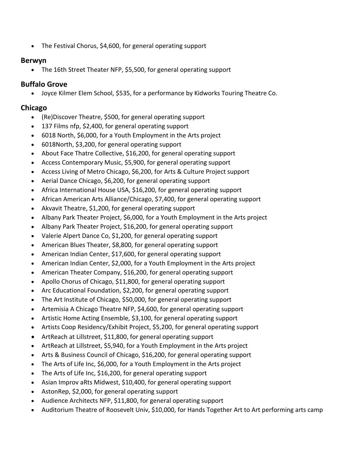• The Festival Chorus, \$4,600, for general operating support

#### **Berwyn**

The 16th Street Theater NFP, \$5,500, for general operating support

## **Buffalo Grove**

Joyce Kilmer Elem School, \$535, for a performance by Kidworks Touring Theatre Co.

## **Chicago**

- (Re)Discover Theatre, \$500, for general operating support
- 137 Films nfp, \$2,400, for general operating support
- 6018 North, \$6,000, for a Youth Employment in the Arts project
- 6018North, \$3,200, for general operating support
- About Face Thatre Collective, \$16,200, for general operating support
- Access Contemporary Music, \$5,900, for general operating support
- Access Living of Metro Chicago, \$6,200, for Arts & Culture Project support
- Aerial Dance Chicago, \$6,200, for general operating support
- Africa International House USA, \$16,200, for general operating support
- African American Arts Alliance/Chicago, \$7,400, for general operating support
- Akvavit Theatre, \$1,200, for general operating support
- Albany Park Theater Project, \$6,000, for a Youth Employment in the Arts project
- Albany Park Theater Project, \$16,200, for general operating support
- Valerie Alpert Dance Co, \$1,200, for general operating support
- American Blues Theater, \$8,800, for general operating support
- American Indian Center, \$17,600, for general operating support
- American Indian Center, \$2,000, for a Youth Employment in the Arts project
- American Theater Company, \$16,200, for general operating support
- Apollo Chorus of Chicago, \$11,800, for general operating support
- Arc Educational Foundation, \$2,200, for general operating support
- The Art Institute of Chicago, \$50,000, for general operating support
- Artemisia A Chicago Theatre NFP, \$4,600, for general operating support
- Artistic Home Acting Ensemble, \$3,100, for general operating support
- Artists Coop Residency/Exhibit Project, \$5,200, for general operating support
- ArtReach at Lillstreet, \$11,800, for general operating support
- ArtReach at Lillstreet, \$5,940, for a Youth Employment in the Arts project
- Arts & Business Council of Chicago, \$16,200, for general operating support
- The Arts of Life Inc, \$6,000, for a Youth Employment in the Arts project
- The Arts of Life Inc, \$16,200, for general operating support
- Asian Improv aRts Midwest, \$10,400, for general operating support
- AstonRep, \$2,000, for general operating support
- Audience Architects NFP, \$11,800, for general operating support
- Auditorium Theatre of Roosevelt Univ, \$10,000, for Hands Together Art to Art performing arts camp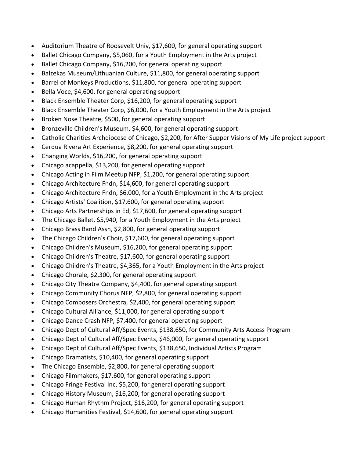- Auditorium Theatre of Roosevelt Univ, \$17,600, for general operating support
- Ballet Chicago Company, \$5,060, for a Youth Employment in the Arts project
- Ballet Chicago Company, \$16,200, for general operating support
- Balzekas Museum/Lithuanian Culture, \$11,800, for general operating support
- Barrel of Monkeys Productions, \$11,800, for general operating support
- Bella Voce, \$4,600, for general operating support
- Black Ensemble Theater Corp, \$16,200, for general operating support
- Black Ensemble Theater Corp, \$6,000, for a Youth Employment in the Arts project
- Broken Nose Theatre, \$500, for general operating support
- Bronzeville Children's Museum, \$4,600, for general operating support
- Catholic Charities Archdiocese of Chicago, \$2,200, for After Supper Visions of My Life project support
- Cerqua Rivera Art Experience, \$8,200, for general operating support
- Changing Worlds, \$16,200, for general operating support
- Chicago acappella, \$13,200, for general operating support
- Chicago Acting in Film Meetup NFP, \$1,200, for general operating support
- Chicago Architecture Fndn, \$14,600, for general operating support
- Chicago Architecture Fndn, \$6,000, for a Youth Employment in the Arts project
- Chicago Artists' Coalition, \$17,600, for general operating support
- Chicago Arts Partnerships in Ed, \$17,600, for general operating support
- The Chicago Ballet, \$5,940, for a Youth Employment in the Arts project
- Chicago Brass Band Assn, \$2,800, for general operating support
- The Chicago Children's Choir, \$17,600, for general operating support
- Chicago Children's Museum, \$16,200, for general operating support
- Chicago Children's Theatre, \$17,600, for general operating support
- Chicago Children's Theatre, \$4,365, for a Youth Employment in the Arts project
- Chicago Chorale, \$2,300, for general operating support
- Chicago City Theatre Company, \$4,400, for general operating support
- Chicago Community Chorus NFP, \$2,800, for general operating support
- Chicago Composers Orchestra, \$2,400, for general operating support
- Chicago Cultural Alliance, \$11,000, for general operating support
- Chicago Dance Crash NFP, \$7,400, for general operating support
- Chicago Dept of Cultural Aff/Spec Events, \$138,650, for Community Arts Access Program
- Chicago Dept of Cultural Aff/Spec Events, \$46,000, for general operating support
- Chicago Dept of Cultural Aff/Spec Events, \$138,650, Individual Artists Program
- Chicago Dramatists, \$10,400, for general operating support
- The Chicago Ensemble, \$2,800, for general operating support
- Chicago Filmmakers, \$17,600, for general operating support
- Chicago Fringe Festival Inc, \$5,200, for general operating support
- Chicago History Museum, \$16,200, for general operating support
- Chicago Human Rhythm Project, \$16,200, for general operating support
- Chicago Humanities Festival, \$14,600, for general operating support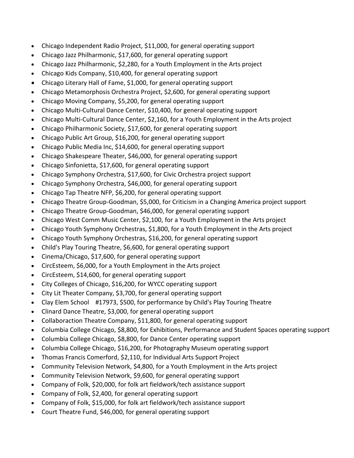- Chicago Independent Radio Project, \$11,000, for general operating support
- Chicago Jazz Philharmonic, \$17,600, for general operating support
- Chicago Jazz Philharmonic, \$2,280, for a Youth Employment in the Arts project
- Chicago Kids Company, \$10,400, for general operating support
- Chicago Literary Hall of Fame, \$1,000, for general operating support
- Chicago Metamorphosis Orchestra Project, \$2,600, for general operating support
- Chicago Moving Company, \$5,200, for general operating support
- Chicago Multi-Cultural Dance Center, \$10,400, for general operating support
- Chicago Multi-Cultural Dance Center, \$2,160, for a Youth Employment in the Arts project
- Chicago Philharmonic Society, \$17,600, for general operating support
- Chicago Public Art Group, \$16,200, for general operating support
- Chicago Public Media Inc, \$14,600, for general operating support
- Chicago Shakespeare Theater, \$46,000, for general operating support
- Chicago Sinfonietta, \$17,600, for general operating support
- Chicago Symphony Orchestra, \$17,600, for Civic Orchestra project support
- Chicago Symphony Orchestra, \$46,000, for general operating support
- Chicago Tap Theatre NFP, \$6,200, for general operating support
- Chicago Theatre Group-Goodman, \$5,000, for Criticism in a Changing America project support
- Chicago Theatre Group-Goodman, \$46,000, for general operating support
- Chicago West Comm Music Center, \$2,100, for a Youth Employment in the Arts project
- Chicago Youth Symphony Orchestras, \$1,800, for a Youth Employment in the Arts project
- Chicago Youth Symphony Orchestras, \$16,200, for general operating support
- Child's Play Touring Theatre, \$6,600, for general operating support
- Cinema/Chicago, \$17,600, for general operating support
- CircEsteem, \$6,000, for a Youth Employment in the Arts project
- CircEsteem, \$14,600, for general operating support
- City Colleges of Chicago, \$16,200, for WYCC operating support
- City Lit Theater Company, \$3,700, for general operating support
- Clay Elem School #17973, \$500, for performance by Child's Play Touring Theatre
- Clinard Dance Theatre, \$3,000, for general operating support
- Collaboraction Theatre Company, \$11,800, for general operating support
- Columbia College Chicago, \$8,800, for Exhibitions, Performance and Student Spaces operating support
- Columbia College Chicago, \$8,800, for Dance Center operating support
- Columbia College Chicago, \$16,200, for Photography Museum operating support
- Thomas Francis Comerford, \$2,110, for Individual Arts Support Project
- Community Television Network, \$4,800, for a Youth Employment in the Arts project
- Community Television Network, \$9,600, for general operating support
- Company of Folk, \$20,000, for folk art fieldwork/tech assistance support
- Company of Folk, \$2,400, for general operating support
- Company of Folk, \$15,000, for folk art fieldwork/tech assistance support
- Court Theatre Fund, \$46,000, for general operating support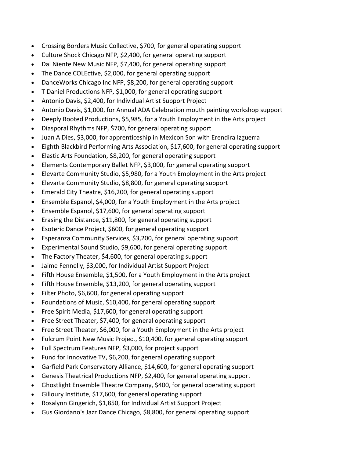- Crossing Borders Music Collective, \$700, for general operating support
- Culture Shock Chicago NFP, \$2,400, for general operating support
- Dal Niente New Music NFP, \$7,400, for general operating support
- The Dance COLEctive, \$2,000, for general operating support
- DanceWorks Chicago Inc NFP, \$8,200, for general operating support
- T Daniel Productions NFP, \$1,000, for general operating support
- Antonio Davis, \$2,400, for Individual Artist Support Project
- Antonio Davis, \$1,000, for Annual ADA Celebration mouth painting workshop support
- Deeply Rooted Productions, \$5,985, for a Youth Employment in the Arts project
- Diasporal Rhythms NFP, \$700, for general operating support
- Juan A Dies, \$3,000, for apprenticeship in Mexicon Son with Erendira Izguerra
- Eighth Blackbird Performing Arts Association, \$17,600, for general operating support
- Elastic Arts Foundation, \$8,200, for general operating support
- Elements Contemporary Ballet NFP, \$3,000, for general operating support
- Elevarte Community Studio, \$5,980, for a Youth Employment in the Arts project
- Elevarte Community Studio, \$8,800, for general operating support
- Emerald City Theatre, \$16,200, for general operating support
- Ensemble Espanol, \$4,000, for a Youth Employment in the Arts project
- Ensemble Espanol, \$17,600, for general operating support
- Erasing the Distance, \$11,800, for general operating support
- Esoteric Dance Project, \$600, for general operating support
- Esperanza Community Services, \$3,200, for general operating support
- Experimental Sound Studio, \$9,600, for general operating support
- The Factory Theater, \$4,600, for general operating support
- Jaime Fennelly, \$3,000, for Individual Artist Support Project
- Fifth House Ensemble, \$1,500, for a Youth Employment in the Arts project
- Fifth House Ensemble, \$13,200, for general operating support
- Filter Photo, \$6,600, for general operating support
- Foundations of Music, \$10,400, for general operating support
- Free Spirit Media, \$17,600, for general operating support
- Free Street Theater, \$7,400, for general operating support
- Free Street Theater, \$6,000, for a Youth Employment in the Arts project
- Fulcrum Point New Music Project, \$10,400, for general operating support
- Full Spectrum Features NFP, \$3,000, for project support
- Fund for Innovative TV, \$6,200, for general operating support
- Garfield Park Conservatory Alliance, \$14,600, for general operating support
- Genesis Theatrical Productions NFP, \$2,400, for general operating support
- Ghostlight Ensemble Theatre Company, \$400, for general operating support
- Gilloury Institute, \$17,600, for general operating support
- Rosalynn Gingerich, \$1,850, for Individual Artist Support Project
- Gus Giordano's Jazz Dance Chicago, \$8,800, for general operating support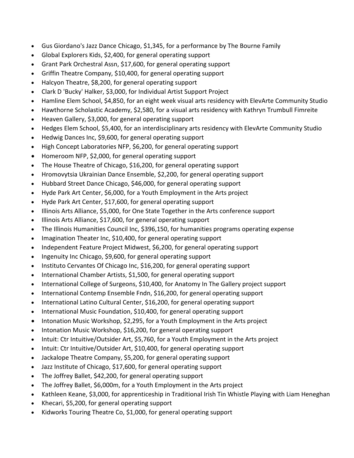- Gus Giordano's Jazz Dance Chicago, \$1,345, for a performance by The Bourne Family
- Global Explorers Kids, \$2,400, for general operating support
- Grant Park Orchestral Assn, \$17,600, for general operating support
- Griffin Theatre Company, \$10,400, for general operating support
- Halcyon Theatre, \$8,200, for general operating support
- Clark D 'Bucky' Halker, \$3,000, for Individual Artist Support Project
- Hamline Elem School, \$4,850, for an eight week visual arts residency with ElevArte Community Studio
- Hawthorne Scholastic Academy, \$2,580, for a visual arts residency with Kathryn Trumbull Fimreite
- Heaven Gallery, \$3,000, for general operating support
- Hedges Elem School, \$5,400, for an interdisciplinary arts residency with ElevArte Community Studio
- Hedwig Dances Inc, \$9,600, for general operating support
- High Concept Laboratories NFP, \$6,200, for general operating support
- Homeroom NFP, \$2,000, for general operating support
- The House Theatre of Chicago, \$16,200, for general operating support
- Hromovytsia Ukrainian Dance Ensemble, \$2,200, for general operating support
- Hubbard Street Dance Chicago, \$46,000, for general operating support
- Hyde Park Art Center, \$6,000, for a Youth Employment in the Arts project
- Hyde Park Art Center, \$17,600, for general operating support
- Illinois Arts Alliance, \$5,000, for One State Together in the Arts conference support
- Illinois Arts Alliance, \$17,600, for general operating support
- The Illinois Humanities Council Inc, \$396,150, for humanities programs operating expense
- Imagination Theater Inc, \$10,400, for general operating support
- Independent Feature Project Midwest, \$6,200, for general operating support
- Ingenuity Inc Chicago, \$9,600, for general operating support
- Instituto Cervantes Of Chicago Inc, \$16,200, for general operating support
- International Chamber Artists, \$1,500, for general operating support
- International College of Surgeons, \$10,400, for Anatomy In The Gallery project support
- International Contemp Ensemble Fndn, \$16,200, for general operating support
- International Latino Cultural Center, \$16,200, for general operating support
- International Music Foundation, \$10,400, for general operating support
- Intonation Music Workshop, \$2,295, for a Youth Employment in the Arts project
- Intonation Music Workshop, \$16,200, for general operating support
- Intuit: Ctr Intuitive/Outsider Art, \$5,760, for a Youth Employment in the Arts project
- Intuit: Ctr Intuitive/Outsider Art, \$10,400, for general operating support
- Jackalope Theatre Company, \$5,200, for general operating support
- Jazz Institute of Chicago, \$17,600, for general operating support
- The Joffrey Ballet, \$42,200, for general operating support
- The Joffrey Ballet, \$6,000m, for a Youth Employment in the Arts project
- Kathleen Keane, \$3,000, for apprenticeship in Traditional Irish Tin Whistle Playing with Liam Heneghan
- Khecari, \$5,200, for general operating support
- Kidworks Touring Theatre Co, \$1,000, for general operating support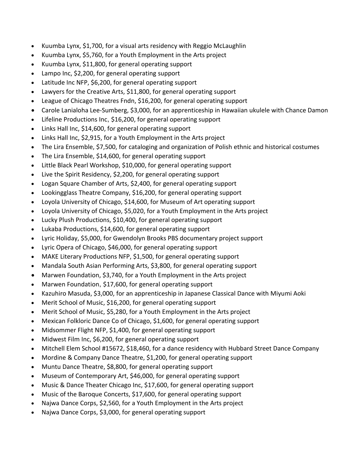- Kuumba Lynx, \$1,700, for a visual arts residency with Reggio McLaughlin
- Kuumba Lynx, \$5,760, for a Youth Employment in the Arts project
- Kuumba Lynx, \$11,800, for general operating support
- Lampo Inc, \$2,200, for general operating support
- Latitude Inc NFP, \$6,200, for general operating support
- Lawyers for the Creative Arts, \$11,800, for general operating support
- League of Chicago Theatres Fndn, \$16,200, for general operating support
- Carole Lanialoha Lee-Sumberg, \$3,000, for an apprenticeship in Hawaiian ukulele with Chance Damon
- Lifeline Productions Inc, \$16,200, for general operating support
- Links Hall Inc, \$14,600, for general operating support
- Links Hall Inc, \$2,915, for a Youth Employment in the Arts project
- The Lira Ensemble, \$7,500, for cataloging and organization of Polish ethnic and historical costumes
- The Lira Ensemble, \$14,600, for general operating support
- Little Black Pearl Workshop, \$10,000, for general operating support
- Live the Spirit Residency, \$2,200, for general operating support
- Logan Square Chamber of Arts, \$2,400, for general operating support
- Lookingglass Theatre Company, \$16,200, for general operating support
- Loyola University of Chicago, \$14,600, for Museum of Art operating support
- Loyola University of Chicago, \$5,020, for a Youth Employment in the Arts project
- Lucky Plush Productions, \$10,400, for general operating support
- Lukaba Productions, \$14,600, for general operating support
- Lyric Holiday, \$5,000, for Gwendolyn Brooks PBS documentary project support
- Lyric Opera of Chicago, \$46,000, for general operating support
- MAKE Literary Productions NFP, \$1,500, for general operating support
- Mandala South Asian Performing Arts, \$3,800, for general operating support
- Marwen Foundation, \$3,740, for a Youth Employment in the Arts project
- Marwen Foundation, \$17,600, for general operating support
- Kazuhiro Masuda, \$3,000, for an apprenticeship in Japanese Classical Dance with Miyumi Aoki
- Merit School of Music, \$16,200, for general operating support
- Merit School of Music, \$5,280, for a Youth Employment in the Arts project
- Mexican Folkloric Dance Co of Chicago, \$1,600, for general operating support
- Midsommer Flight NFP, \$1,400, for general operating support
- Midwest Film Inc, \$6,200, for general operating support
- Mitchell Elem School #15672, \$18,460, for a dance residency with Hubbard Street Dance Company
- Mordine & Company Dance Theatre, \$1,200, for general operating support
- Muntu Dance Theatre, \$8,800, for general operating support
- Museum of Contemporary Art, \$46,000, for general operating support
- Music & Dance Theater Chicago Inc, \$17,600, for general operating support
- Music of the Baroque Concerts, \$17,600, for general operating support
- Najwa Dance Corps, \$2,560, for a Youth Employment in the Arts project
- Najwa Dance Corps, \$3,000, for general operating support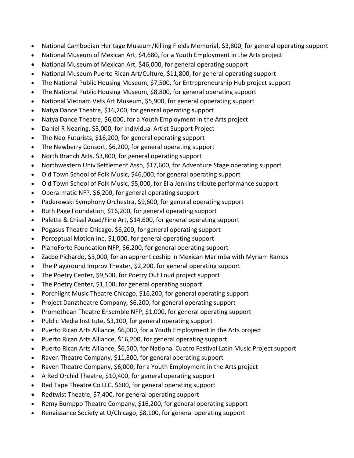- National Cambodian Heritage Museum/Killing Fields Memorial, \$3,800, for general operating support
- National Museum of Mexican Art, \$4,680, for a Youth Employment in the Arts project
- National Museum of Mexican Art, \$46,000, for general operating support
- National Museum Puerto Rican Art/Culture, \$11,800, for general operating support
- The National Public Housing Museum, \$7,500, for Entrepreneurship Hub project support
- The National Public Housing Museum, \$8,800, for general operating support
- National Vietnam Vets Art Museum, \$5,900, for general opperating support
- Natya Dance Theatre, \$16,200, for general operating support
- Natya Dance Theatre, \$6,000, for a Youth Employment in the Arts project
- Daniel R Nearing, \$3,000, for Individual Artist Support Project
- The Neo-Futurists, \$16,200, for general operating support
- The Newberry Consort, \$6,200, for general operating support
- North Branch Arts, \$3,800, for general operating support
- Northwestern Univ Settlement Assn, \$17,600, for Adventure Stage operating support
- Old Town School of Folk Music, \$46,000, for general operating support
- Old Town School of Folk Music, \$5,000, for Ella Jenkins tribute performance support
- Opera-matic NFP, \$6,200, for general operating support
- Paderewski Symphony Orchestra, \$9,600, for general operating support
- Ruth Page Foundation, \$16,200, for general operating support
- Palette & Chisel Acad/Fine Art, \$14,600, for general operating support
- Pegasus Theatre Chicago, \$6,200, for general operating support
- Perceptual Motion Inc, \$1,000, for general operating support
- PianoForte Foundation NFP, \$6,200, for general operating support
- Zacbe Pichardo, \$3,000, for an apprenticeship in Mexican Marimba with Myriam Ramos
- The Playground Improv Theater, \$2,200, for general operating support
- The Poetry Center, \$9,500, for Poetry Out Loud project support
- The Poetry Center, \$1,100, for general operating support
- Porchlight Music Theatre Chicago, \$16,200, for general operating support
- Project Danztheatre Company, \$6,200, for general operating support
- Promethean Theatre Ensemble NFP, \$1,000, for general operating support
- Public Media Institute, \$3,100, for general operating support
- Puerto Rican Arts Alliance, \$6,000, for a Youth Employment in the Arts project
- Puerto Rican Arts Alliance, \$16,200, for general operating support
- Puerto Rican Arts Alliance, \$6,500, for National Cuatro Festival Latin Music Project support
- Raven Theatre Company, \$11,800, for general operating support
- Raven Theatre Company, \$6,000, for a Youth Employment in the Arts project
- A Red Orchid Theatre, \$10,400, for general operating support
- Red Tape Theatre Co LLC, \$600, for general operating support
- Redtwist Theatre, \$7,400, for general operating support
- Remy Bumppo Theatre Company, \$16,200, for general operating support
- Renaissance Society at U/Chicago, \$8,100, for general operating support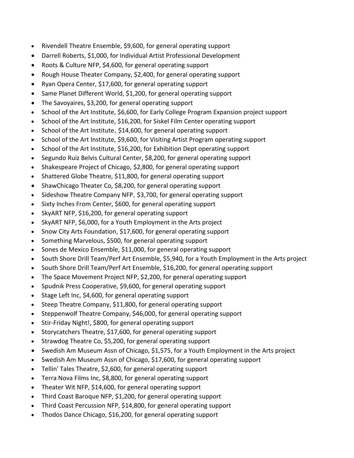- Rivendell Theatre Ensemble, \$9,600, for general operating support
- Darrell Roberts, \$1,000, for Individual Artist Professional Development
- Roots & Culture NFP, \$4,600, for general operating support
- Rough House Theater Company, \$2,400, for general operating support
- Ryan Opera Center, \$17,600, for general operating support
- Same Planet Different World, \$1,200, for general operating support
- The Savoyaires, \$3,200, for general operating support
- School of the Art Institute, \$6,600, for Early College Program Expansion project support
- School of the Art Institute, \$16,200, for Siskel Film Center operating support
- School of the Art Institute, \$14,600, for general operating support
- School of the Art Institute, \$9,600, for Visiting Artist Program operating support
- School of the Art Institute, \$16,200, for Exhibition Dept operating support
- Segundo Ruiz Belvis Cultural Center, \$8,200, for general operating support
- Shakespeare Project of Chicago, \$2,800, for general operating support
- Shattered Globe Theatre, \$11,800, for general operating support
- ShawChicago Theater Co, \$8,200, for general operating support
- Sideshow Theatre Company NFP, \$3,700, for general operating support
- Sixty Inches From Center, \$600, for general operating support
- SkyART NFP, \$16,200, for general operating support
- SkyART NFP, \$6,000, for a Youth Employment in the Arts project
- Snow City Arts Foundation, \$17,600, for general operating support
- Something Marvelous, \$500, for general operating support
- Sones de Mexico Ensemble, \$11,000, for general operating support
- South Shore Drill Team/Perf Art Ensemble, \$5,940, for a Youth Employment in the Arts project
- South Shore Drill Team/Perf Art Ensemble, \$16,200, for general operating support
- The Space Movement Project NFP, \$2,200, for general operating support
- Spudnik Press Cooperative, \$9,600, for general operating support
- Stage Left Inc, \$4,600, for general operating support
- Steep Theatre Company, \$11,800, for general operating support
- Steppenwolf Theatre Company, \$46,000, for general operating support
- Stir-Friday Night!, \$800, for general operating support
- Storycatchers Theatre, \$17,600, for general operating support
- Strawdog Theatre Co, \$5,200, for general operating support
- Swedish Am Museum Assn of Chicago, \$1,575, for a Youth Employment in the Arts project
- Swedish Am Museum Assn of Chicago, \$17,600, for general operating support
- Tellin' Tales Theatre, \$2,600, for general operating support
- Terra Nova Films Inc, \$8,800, for general operating support
- Theater Wit NFP, \$14,600, for general operating support
- Third Coast Baroque NFP, \$1,200, for general operating support
- Third Coast Percussion NFP, \$14,800, for general operating support
- Thodos Dance Chicago, \$16,200, for general operating support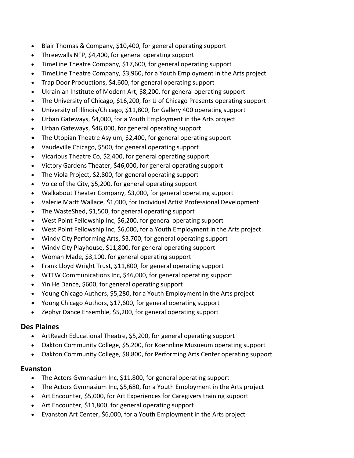- Blair Thomas & Company, \$10,400, for general operating support
- Threewalls NFP, \$4,400, for general operating support
- TimeLine Theatre Company, \$17,600, for general operating support
- TimeLine Theatre Company, \$3,960, for a Youth Employment in the Arts project
- Trap Door Productions, \$4,600, for general operating support
- Ukrainian Institute of Modern Art, \$8,200, for general operating support
- The University of Chicago, \$16,200, for U of Chicago Presents operating support
- University of Illinois/Chicago, \$11,800, for Gallery 400 operating support
- Urban Gateways, \$4,000, for a Youth Employment in the Arts project
- Urban Gateways, \$46,000, for general operating support
- The Utopian Theatre Asylum, \$2,400, for general operating support
- Vaudeville Chicago, \$500, for general operating support
- Vicarious Theatre Co, \$2,400, for general operating support
- Victory Gardens Theater, \$46,000, for general operating support
- The Viola Project, \$2,800, for general operating support
- Voice of the City, \$5,200, for general operating support
- Walkabout Theater Company, \$3,000, for general operating support
- Valerie Martt Wallace, \$1,000, for Individual Artist Professional Development
- The WasteShed, \$1,500, for general operating support
- West Point Fellowship Inc, \$6,200, for general operating support
- West Point Fellowship Inc, \$6,000, for a Youth Employment in the Arts project
- Windy City Performing Arts, \$3,700, for general operating support
- Windy City Playhouse, \$11,800, for general operating support
- Woman Made, \$3,100, for general operating support
- Frank Lloyd Wright Trust, \$11,800, for general operating support
- WTTW Communications Inc, \$46,000, for general operating support
- Yin He Dance, \$600, for general operating support
- Young Chicago Authors, \$5,280, for a Youth Employment in the Arts project
- Young Chicago Authors, \$17,600, for general operating support
- Zephyr Dance Ensemble, \$5,200, for general operating support

## **Des Plaines**

- ArtReach Educational Theatre, \$5,200, for general operating support
- Oakton Community College, \$5,200, for Koehnline Musueum operating support
- Oakton Community College, \$8,800, for Performing Arts Center operating support

## **Evanston**

- The Actors Gymnasium Inc, \$11,800, for general operating support
- The Actors Gymnasium Inc, \$5,680, for a Youth Employment in the Arts project
- Art Encounter, \$5,000, for Art Experiences for Caregivers training support
- Art Encounter, \$11,800, for general operating support
- Evanston Art Center, \$6,000, for a Youth Employment in the Arts project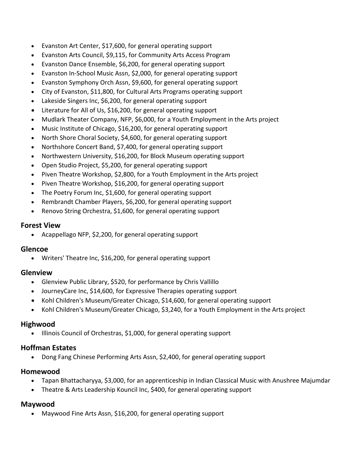- Evanston Art Center, \$17,600, for general operating support
- Evanston Arts Council, \$9,115, for Community Arts Access Program
- Evanston Dance Ensemble, \$6,200, for general operating support
- Evanston In-School Music Assn, \$2,000, for general operating support
- Evanston Symphony Orch Assn, \$9,600, for general operating support
- City of Evanston, \$11,800, for Cultural Arts Programs operating support
- Lakeside Singers Inc, \$6,200, for general operating support
- Literature for All of Us, \$16,200, for general operating support
- Mudlark Theater Company, NFP, \$6,000, for a Youth Employment in the Arts project
- Music Institute of Chicago, \$16,200, for general operating support
- North Shore Choral Society, \$4,600, for general operating support
- Northshore Concert Band, \$7,400, for general operating support
- Northwestern University, \$16,200, for Block Museum operating support
- Open Studio Project, \$5,200, for general operating support
- Piven Theatre Workshop, \$2,800, for a Youth Employment in the Arts project
- Piven Theatre Workshop, \$16,200, for general operating support
- The Poetry Forum Inc, \$1,600, for general operating support
- Rembrandt Chamber Players, \$6,200, for general operating support
- Renovo String Orchestra, \$1,600, for general operating support

#### **Forest View**

• Acappellago NFP, \$2,200, for general operating support

#### **Glencoe**

Writers' Theatre Inc, \$16,200, for general operating support

## **Glenview**

- Glenview Public Library, \$520, for performance by Chris Vallillo
- JourneyCare Inc, \$14,600, for Expressive Therapies operating support
- Kohl Children's Museum/Greater Chicago, \$14,600, for general operating support
- Kohl Children's Museum/Greater Chicago, \$3,240, for a Youth Employment in the Arts project

## **Highwood**

Illinois Council of Orchestras, \$1,000, for general operating support

## **Hoffman Estates**

Dong Fang Chinese Performing Arts Assn, \$2,400, for general operating support

## **Homewood**

- Tapan Bhattacharyya, \$3,000, for an apprenticeship in Indian Classical Music with Anushree Majumdar
- Theatre & Arts Leadership Kouncil Inc, \$400, for general operating support

## **Maywood**

• Maywood Fine Arts Assn, \$16,200, for general operating support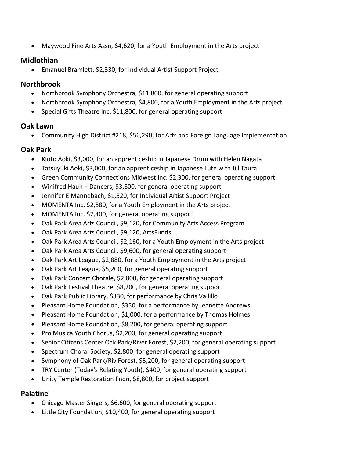Maywood Fine Arts Assn, \$4,620, for a Youth Employment in the Arts project

## **Midlothian**

Emanuel Bramlett, \$2,330, for Individual Artist Support Project

## **Northbrook**

- Northbrook Symphony Orchestra, \$11,800, for general operating support
- Northbrook Symphony Orchestra, \$4,800, for a Youth Employment in the Arts project
- Special Gifts Theatre Inc, \$11,800, for general operating support

## **Oak Lawn**

Community High District #218, \$56,290, for Arts and Foreign Language Implementation

## **Oak Park**

- Kioto Aoki, \$3,000, for an apprenticeship in Japanese Drum with Helen Nagata
- Tatsuyuki Aoki, \$3,000, for an apprenticeship in Japanese Lute with Jill Taura
- Green Community Connections Midwest Inc, \$2,300, for general operating support
- Winifred Haun + Dancers, \$3,800, for general operating support
- Jennifer E Mannebach, \$1,520, for Individual Artist Support Project
- MOMENTA Inc, \$2,880, for a Youth Employment in the Arts project
- MOMENTA Inc, \$7,400, for general operating support
- Oak Park Area Arts Council, \$9,120, for Community Arts Access Program
- Oak Park Area Arts Council, \$9,120, ArtsFunds
- Oak Park Area Arts Council, \$2,160, for a Youth Employment in the Arts project
- Oak Park Area Arts Council, \$9,600, for general operating support
- Oak Park Art League, \$2,880, for a Youth Employment in the Arts project
- Oak Park Art League, \$5,200, for general operating support
- Oak Park Concert Chorale, \$2,800, for general operating support
- Oak Park Festival Theatre, \$8,200, for general operating support
- Oak Park Public Library, \$330, for performance by Chris Vallillo
- Pleasant Home Foundation, \$350, for a performance by Jeanette Andrews
- Pleasant Home Foundation, \$1,000, for a performance by Thomas Holmes
- Pleasant Home Foundation, \$8,200, for general operating support
- Pro Musica Youth Chorus, \$2,200, for general operating support
- Senior Citizens Center Oak Park/River Forest, \$2,200, for general operating support
- Spectrum Choral Society, \$2,800, for general operating support
- Symphony of Oak Park/Riv Forest, \$5,200, for general operating support
- TRY Center (Today's Relating Youth), \$400, for general operating support
- Unity Temple Restoration Fndn, \$8,800, for project support

## **Palatine**

- Chicago Master Singers, \$6,600, for general operating support
- Little City Foundation, \$10,400, for general operating support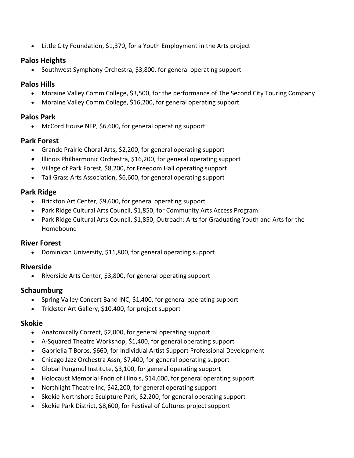Little City Foundation, \$1,370, for a Youth Employment in the Arts project

## **Palos Heights**

• Southwest Symphony Orchestra, \$3,800, for general operating support

## **Palos Hills**

- Moraine Valley Comm College, \$3,500, for the performance of The Second City Touring Company
- Moraine Valley Comm College, \$16,200, for general operating support

## **Palos Park**

McCord House NFP, \$6,600, for general operating support

## **Park Forest**

- Grande Prairie Choral Arts, \$2,200, for general operating support
- Illinois Philharmonic Orchestra, \$16,200, for general operating support
- Village of Park Forest, \$8,200, for Freedom Hall operating support
- Tall Grass Arts Association, \$6,600, for general operating support

## **Park Ridge**

- Brickton Art Center, \$9,600, for general operating support
- Park Ridge Cultural Arts Council, \$1,850, for Community Arts Access Program
- Park Ridge Cultural Arts Council, \$1,850, Outreach: Arts for Graduating Youth and Arts for the Homebound

## **River Forest**

Dominican University, \$11,800, for general operating support

## **Riverside**

• Riverside Arts Center, \$3,800, for general operating support

## **Schaumburg**

- Spring Valley Concert Band INC, \$1,400, for general operating support
- Trickster Art Gallery, \$10,400, for project support

## **Skokie**

- Anatomically Correct, \$2,000, for general operating support
- A-Squared Theatre Workshop, \$1,400, for general operating support
- Gabriella T Boros, \$660, for Individual Artist Support Professional Development
- Chicago Jazz Orchestra Assn, \$7,400, for general operating support
- Global Pungmul Institute, \$3,100, for general operating support
- Holocaust Memorial Fndn of Illinois, \$14,600, for general operating support
- Northlight Theatre Inc, \$42,200, for general operating support
- Skokie Northshore Sculpture Park, \$2,200, for general operating support
- Skokie Park District, \$8,600, for Festival of Cultures project support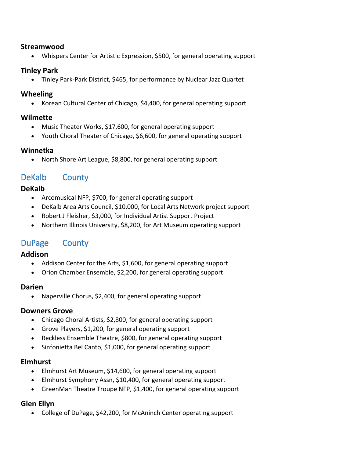#### **Streamwood**

Whispers Center for Artistic Expression, \$500, for general operating support

## **Tinley Park**

Tinley Park-Park District, \$465, for performance by Nuclear Jazz Quartet

## **Wheeling**

• Korean Cultural Center of Chicago, \$4,400, for general operating support

## **Wilmette**

- Music Theater Works, \$17,600, for general operating support
- Youth Choral Theater of Chicago, \$6,600, for general operating support

## **Winnetka**

• North Shore Art League, \$8,800, for general operating support

## DeKalb County

## **DeKalb**

- Arcomusical NFP, \$700, for general operating support
- DeKalb Area Arts Council, \$10,000, for Local Arts Network project support
- Robert J Fleisher, \$3,000, for Individual Artist Support Project
- Northern Illinois University, \$8,200, for Art Museum operating support

## DuPage County

## **Addison**

- Addison Center for the Arts, \$1,600, for general operating support
- Orion Chamber Ensemble, \$2,200, for general operating support

## **Darien**

• Naperville Chorus, \$2,400, for general operating support

## **Downers Grove**

- Chicago Choral Artists, \$2,800, for general operating support
- Grove Players, \$1,200, for general operating support
- Reckless Ensemble Theatre, \$800, for general operating support
- Sinfonietta Bel Canto, \$1,000, for general operating support

## **Elmhurst**

- Elmhurst Art Museum, \$14,600, for general operating support
- Elmhurst Symphony Assn, \$10,400, for general operating support
- GreenMan Theatre Troupe NFP, \$1,400, for general operating support

## **Glen Ellyn**

College of DuPage, \$42,200, for McAninch Center operating support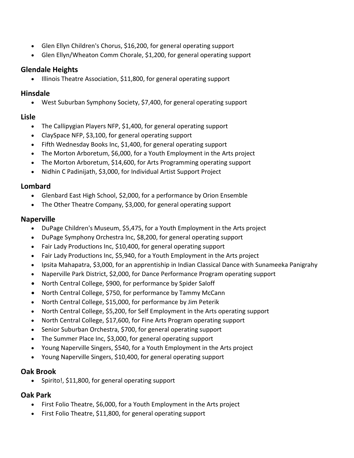- Glen Ellyn Children's Chorus, \$16,200, for general operating support
- Glen Ellyn/Wheaton Comm Chorale, \$1,200, for general operating support

## **Glendale Heights**

• Illinois Theatre Association, \$11,800, for general operating support

## **Hinsdale**

West Suburban Symphony Society, \$7,400, for general operating support

## **Lisle**

- The Callipygian Players NFP, \$1,400, for general operating support
- ClaySpace NFP, \$3,100, for general operating support
- Fifth Wednesday Books Inc, \$1,400, for general operating support
- The Morton Arboretum, \$6,000, for a Youth Employment in the Arts project
- The Morton Arboretum, \$14,600, for Arts Programming operating support
- Nidhin C Padinijath, \$3,000, for Individual Artist Support Project

## **Lombard**

- Glenbard East High School, \$2,000, for a performance by Orion Ensemble
- The Other Theatre Company, \$3,000, for general operating support

## **Naperville**

- DuPage Children's Museum, \$5,475, for a Youth Employment in the Arts project
- DuPage Symphony Orchestra Inc, \$8,200, for general operating support
- Fair Lady Productions Inc, \$10,400, for general operating support
- Fair Lady Productions Inc, \$5,940, for a Youth Employment in the Arts project
- Ipsita Mahapatra, \$3,000, for an apprentiship in Indian Classical Dance with Sunameeka Panigrahy
- Naperville Park District, \$2,000, for Dance Performance Program operating support
- North Central College, \$900, for performance by Spider Saloff
- North Central College, \$750, for performance by Tammy McCann
- North Central College, \$15,000, for performance by Jim Peterik
- North Central College, \$5,200, for Self Employment in the Arts operating support
- North Central College, \$17,600, for Fine Arts Program operating support
- Senior Suburban Orchestra, \$700, for general operating support
- The Summer Place Inc, \$3,000, for general operating support
- Young Naperville Singers, \$540, for a Youth Employment in the Arts project
- Young Naperville Singers, \$10,400, for general operating support

## **Oak Brook**

• Spirito!, \$11,800, for general operating support

## **Oak Park**

- First Folio Theatre, \$6,000, for a Youth Employment in the Arts project
- First Folio Theatre, \$11,800, for general operating support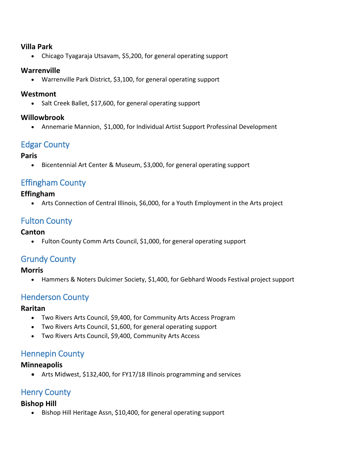## **Villa Park**

Chicago Tyagaraja Utsavam, \$5,200, for general operating support

## **Warrenville**

Warrenville Park District, \$3,100, for general operating support

## **Westmont**

• Salt Creek Ballet, \$17,600, for general operating support

## **Willowbrook**

Annemarie Mannion, \$1,000, for Individual Artist Support Professinal Development

# Edgar County

## **Paris**

Bicentennial Art Center & Museum, \$3,000, for general operating support

## Effingham County

## **Effingham**

Arts Connection of Central Illinois, \$6,000, for a Youth Employment in the Arts project

# Fulton County

## **Canton**

• Fulton County Comm Arts Council, \$1,000, for general operating support

## Grundy County

## **Morris**

Hammers & Noters Dulcimer Society, \$1,400, for Gebhard Woods Festival project support

## Henderson County

## **Raritan**

- Two Rivers Arts Council, \$9,400, for Community Arts Access Program
- Two Rivers Arts Council, \$1,600, for general operating support
- Two Rivers Arts Council, \$9,400, Community Arts Access

# Hennepin County

## **Minneapolis**

Arts Midwest, \$132,400, for FY17/18 Illinois programming and services

# Henry County

## **Bishop Hill**

• Bishop Hill Heritage Assn, \$10,400, for general operating support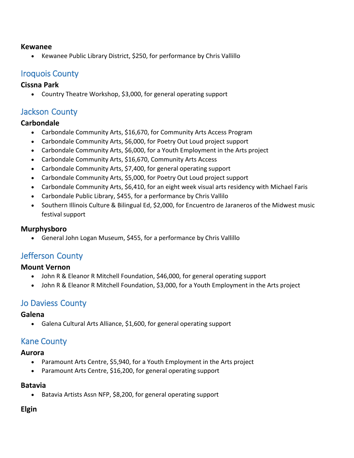#### **Kewanee**

• Kewanee Public Library District, \$250, for performance by Chris Vallillo

## Iroquois County

## **Cissna Park**

• Country Theatre Workshop, \$3,000, for general operating support

## Jackson County

## **Carbondale**

- Carbondale Community Arts, \$16,670, for Community Arts Access Program
- Carbondale Community Arts, \$6,000, for Poetry Out Loud project support
- Carbondale Community Arts, \$6,000, for a Youth Employment in the Arts project
- Carbondale Community Arts, \$16,670, Community Arts Access
- Carbondale Community Arts, \$7,400, for general operating support
- Carbondale Community Arts, \$5,000, for Poetry Out Loud project support
- Carbondale Community Arts, \$6,410, for an eight week visual arts residency with Michael Faris
- Carbondale Public Library, \$455, for a performance by Chris Vallilo
- Southern Illinois Culture & Bilingual Ed, \$2,000, for Encuentro de Jaraneros of the Midwest music festival support

## **Murphysboro**

General John Logan Museum, \$455, for a performance by Chris Vallillo

# Jefferson County

## **Mount Vernon**

- John R & Eleanor R Mitchell Foundation, \$46,000, for general operating support
- John R & Eleanor R Mitchell Foundation, \$3,000, for a Youth Employment in the Arts project

# Jo Daviess County

#### **Galena**

Galena Cultural Arts Alliance, \$1,600, for general operating support

## Kane County

#### **Aurora**

- Paramount Arts Centre, \$5,940, for a Youth Employment in the Arts project
- Paramount Arts Centre, \$16,200, for general operating support

## **Batavia**

• Batavia Artists Assn NFP, \$8,200, for general operating support

## **Elgin**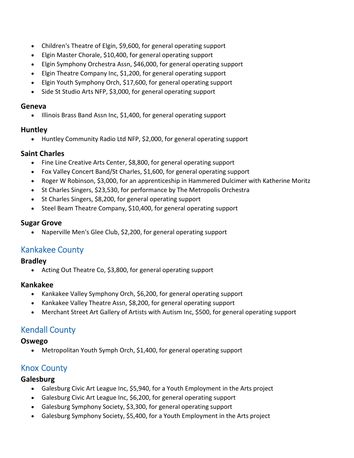- Children's Theatre of Elgin, \$9,600, for general operating support
- Elgin Master Chorale, \$10,400, for general operating support
- Elgin Symphony Orchestra Assn, \$46,000, for general operating support
- Elgin Theatre Company Inc, \$1,200, for general operating support
- Elgin Youth Symphony Orch, \$17,600, for general operating support
- Side St Studio Arts NFP, \$3,000, for general operating support

#### **Geneva**

• Illinois Brass Band Assn Inc, \$1,400, for general operating support

## **Huntley**

Huntley Community Radio Ltd NFP, \$2,000, for general operating support

## **Saint Charles**

- Fine Line Creative Arts Center, \$8,800, for general operating support
- Fox Valley Concert Band/St Charles, \$1,600, for general operating support
- Roger W Robinson, \$3,000, for an apprenticeship in Hammered Dulcimer with Katherine Moritz
- St Charles Singers, \$23,530, for performance by The Metropolis Orchestra
- St Charles Singers, \$8,200, for general operating support
- Steel Beam Theatre Company, \$10,400, for general operating support

## **Sugar Grove**

• Naperville Men's Glee Club, \$2,200, for general operating support

# Kankakee County

## **Bradley**

• Acting Out Theatre Co, \$3,800, for general operating support

## **Kankakee**

- Kankakee Valley Symphony Orch, \$6,200, for general operating support
- Kankakee Valley Theatre Assn, \$8,200, for general operating support
- Merchant Street Art Gallery of Artists with Autism Inc, \$500, for general operating support

# Kendall County

## **Oswego**

• Metropolitan Youth Symph Orch, \$1,400, for general operating support

# Knox County

## **Galesburg**

- Galesburg Civic Art League Inc, \$5,940, for a Youth Employment in the Arts project
- Galesburg Civic Art League Inc, \$6,200, for general operating support
- Galesburg Symphony Society, \$3,300, for general operating support
- Galesburg Symphony Society, \$5,400, for a Youth Employment in the Arts project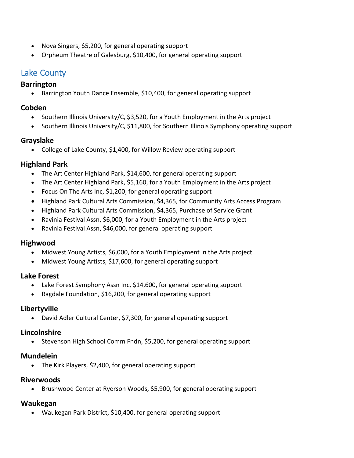- Nova Singers, \$5,200, for general operating support
- Orpheum Theatre of Galesburg, \$10,400, for general operating support

## Lake County

#### **Barrington**

• Barrington Youth Dance Ensemble, \$10,400, for general operating support

## **Cobden**

- Southern Illinois University/C, \$3,520, for a Youth Employment in the Arts project
- Southern Illinois University/C, \$11,800, for Southern Illinois Symphony operating support

## **Grayslake**

College of Lake County, \$1,400, for Willow Review operating support

## **Highland Park**

- The Art Center Highland Park, \$14,600, for general operating support
- The Art Center Highland Park, \$5,160, for a Youth Employment in the Arts project
- Focus On The Arts Inc, \$1,200, for general operating support
- Highland Park Cultural Arts Commission, \$4,365, for Community Arts Access Program
- Highland Park Cultural Arts Commission, \$4,365, Purchase of Service Grant
- Ravinia Festival Assn, \$6,000, for a Youth Employment in the Arts project
- Ravinia Festival Assn, \$46,000, for general operating support

## **Highwood**

- Midwest Young Artists, \$6,000, for a Youth Employment in the Arts project
- Midwest Young Artists, \$17,600, for general operating support

## **Lake Forest**

- Lake Forest Symphony Assn Inc, \$14,600, for general operating support
- Ragdale Foundation, \$16,200, for general operating support

## **Libertyville**

David Adler Cultural Center, \$7,300, for general operating support

## **Lincolnshire**

• Stevenson High School Comm Fndn, \$5,200, for general operating support

## **Mundelein**

• The Kirk Players, \$2,400, for general operating support

## **Riverwoods**

• Brushwood Center at Ryerson Woods, \$5,900, for general operating support

## **Waukegan**

Waukegan Park District, \$10,400, for general operating support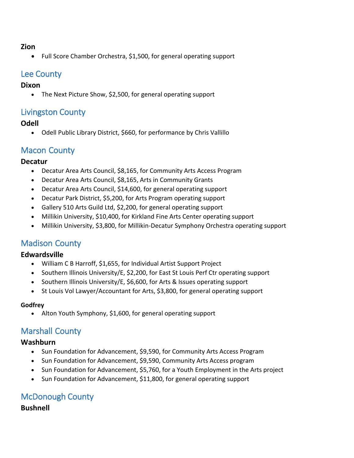#### **Zion**

• Full Score Chamber Orchestra, \$1,500, for general operating support

## Lee County

#### **Dixon**

The Next Picture Show, \$2,500, for general operating support

## Livingston County

## **Odell**

Odell Public Library District, \$660, for performance by Chris Vallillo

# Macon County

## **Decatur**

- Decatur Area Arts Council, \$8,165, for Community Arts Access Program
- Decatur Area Arts Council, \$8,165, Arts in Community Grants
- Decatur Area Arts Council, \$14,600, for general operating support
- Decatur Park District, \$5,200, for Arts Program operating support
- Gallery 510 Arts Guild Ltd, \$2,200, for general operating support
- Millikin University, \$10,400, for Kirkland Fine Arts Center operating support
- Millikin University, \$3,800, for Millikin-Decatur Symphony Orchestra operating support

## Madison County

## **Edwardsville**

- William C B Harroff, \$1,655, for Individual Artist Support Project
- Southern Illinois University/E, \$2,200, for East St Louis Perf Ctr operating support
- Southern Illinois University/E, \$6,600, for Arts & Issues operating support
- St Louis Vol Lawyer/Accountant for Arts, \$3,800, for general operating support

#### **Godfrey**

• Alton Youth Symphony, \$1,600, for general operating support

# Marshall County

## **Washburn**

- Sun Foundation for Advancement, \$9,590, for Community Arts Access Program
- Sun Foundation for Advancement, \$9,590, Community Arts Access program
- Sun Foundation for Advancement, \$5,760, for a Youth Employment in the Arts project
- Sun Foundation for Advancement, \$11,800, for general operating support

# McDonough County

## **Bushnell**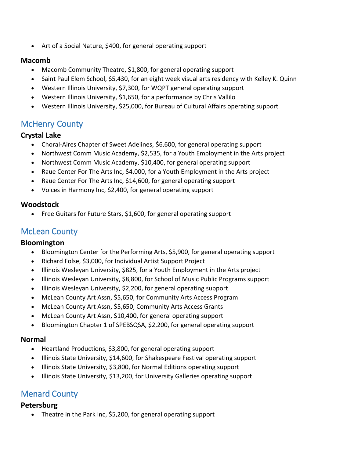• Art of a Social Nature, \$400, for general operating support

## **Macomb**

- Macomb Community Theatre, \$1,800, for general operating support
- Saint Paul Elem School, \$5,430, for an eight week visual arts residency with Kelley K. Quinn
- Western Illinois University, \$7,300, for WQPT general operating support
- Western Illinois University, \$1,650, for a performance by Chris Vallilo
- Western Illinois University, \$25,000, for Bureau of Cultural Affairs operating support

# McHenry County

## **Crystal Lake**

- Choral-Aires Chapter of Sweet Adelines, \$6,600, for general operating support
- Northwest Comm Music Academy, \$2,535, for a Youth Employment in the Arts project
- Northwest Comm Music Academy, \$10,400, for general operating support
- Raue Center For The Arts Inc, \$4,000, for a Youth Employment in the Arts project
- Raue Center For The Arts Inc, \$14,600, for general operating support
- Voices in Harmony Inc, \$2,400, for general operating support

## **Woodstock**

• Free Guitars for Future Stars, \$1,600, for general operating support

## McLean County

## **Bloomington**

- Bloomington Center for the Performing Arts, \$5,900, for general operating support
- Richard Folse, \$3,000, for Individual Artist Support Project
- Illinois Wesleyan University, \$825, for a Youth Employment in the Arts project
- Illinois Wesleyan University, \$8,800, for School of Music Public Programs support
- Illinois Wesleyan University, \$2,200, for general operating support
- McLean County Art Assn, \$5,650, for Community Arts Access Program
- McLean County Art Assn, \$5,650, Community Arts Access Grants
- McLean County Art Assn, \$10,400, for general operating support
- Bloomington Chapter 1 of SPEBSQSA, \$2,200, for general operating support

## **Normal**

- Heartland Productions, \$3,800, for general operating support
- Illinois State University, \$14,600, for Shakespeare Festival operating support
- Illinois State University, \$3,800, for Normal Editions operating support
- Illinois State University, \$13,200, for University Galleries operating support

# Menard County

## **Petersburg**

• Theatre in the Park Inc, \$5,200, for general operating support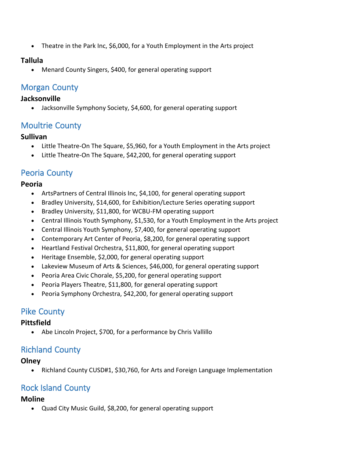Theatre in the Park Inc, \$6,000, for a Youth Employment in the Arts project

## **Tallula**

Menard County Singers, \$400, for general operating support

# Morgan County

## **Jacksonville**

Jacksonville Symphony Society, \$4,600, for general operating support

# Moultrie County

## **Sullivan**

- Little Theatre-On The Square, \$5,960, for a Youth Employment in the Arts project
- Little Theatre-On The Square, \$42,200, for general operating support

# Peoria County

## **Peoria**

- ArtsPartners of Central Illinois Inc, \$4,100, for general operating support
- Bradley University, \$14,600, for Exhibition/Lecture Series operating support
- Bradley University, \$11,800, for WCBU-FM operating support
- Central Illinois Youth Symphony, \$1,530, for a Youth Employment in the Arts project
- Central Illinois Youth Symphony, \$7,400, for general operating support
- Contemporary Art Center of Peoria, \$8,200, for general operating support
- Heartland Festival Orchestra, \$11,800, for general operating support
- Heritage Ensemble, \$2,000, for general operating support
- Lakeview Museum of Arts & Sciences, \$46,000, for general operating support
- Peoria Area Civic Chorale, \$5,200, for general operating support
- Peoria Players Theatre, \$11,800, for general operating support
- Peoria Symphony Orchestra, \$42,200, for general operating support

# Pike County

## **Pittsfield**

• Abe Lincoln Project, \$700, for a performance by Chris Vallillo

# Richland County

## **Olney**

Richland County CUSD#1, \$30,760, for Arts and Foreign Language Implementation

# Rock Island County

## **Moline**

Quad City Music Guild, \$8,200, for general operating support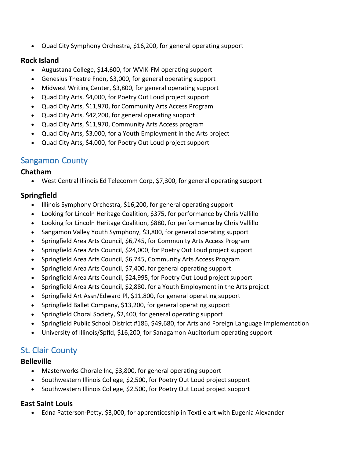Quad City Symphony Orchestra, \$16,200, for general operating support

## **Rock Island**

- Augustana College, \$14,600, for WVIK-FM operating support
- Genesius Theatre Fndn, \$3,000, for general operating support
- Midwest Writing Center, \$3,800, for general operating support
- Quad City Arts, \$4,000, for Poetry Out Loud project support
- Quad City Arts, \$11,970, for Community Arts Access Program
- Quad City Arts, \$42,200, for general operating support
- Quad City Arts, \$11,970, Community Arts Access program
- Quad City Arts, \$3,000, for a Youth Employment in the Arts project
- Quad City Arts, \$4,000, for Poetry Out Loud project support

## Sangamon County

## **Chatham**

West Central Illinois Ed Telecomm Corp, \$7,300, for general operating support

## **Springfield**

- Illinois Symphony Orchestra, \$16,200, for general operating support
- Looking for Lincoln Heritage Coalition, \$375, for performance by Chris Vallillo
- Looking for Lincoln Heritage Coalition, \$880, for performance by Chris Vallillo
- Sangamon Valley Youth Symphony, \$3,800, for general operating support
- Springfield Area Arts Council, \$6,745, for Community Arts Access Program
- Springfield Area Arts Council, \$24,000, for Poetry Out Loud project support
- Springfield Area Arts Council, \$6,745, Community Arts Access Program
- Springfield Area Arts Council, \$7,400, for general operating support
- Springfield Area Arts Council, \$24,995, for Poetry Out Loud project support
- Springfield Area Arts Council, \$2,880, for a Youth Employment in the Arts project
- Springfield Art Assn/Edward Pl, \$11,800, for general operating support
- Springfield Ballet Company, \$13,200, for general operating support
- Springfield Choral Society, \$2,400, for general operating support
- Springfield Public School District #186, \$49,680, for Arts and Foreign Language Implementation
- University of Illinois/Spfld, \$16,200, for Sanagamon Auditorium operating support

# St. Clair County

## **Belleville**

- Masterworks Chorale Inc, \$3,800, for general operating support
- Southwestern Illinois College, \$2,500, for Poetry Out Loud project support
- Southwestern Illinois College, \$2,500, for Poetry Out Loud project support

## **East Saint Louis**

Edna Patterson-Petty, \$3,000, for apprenticeship in Textile art with Eugenia Alexander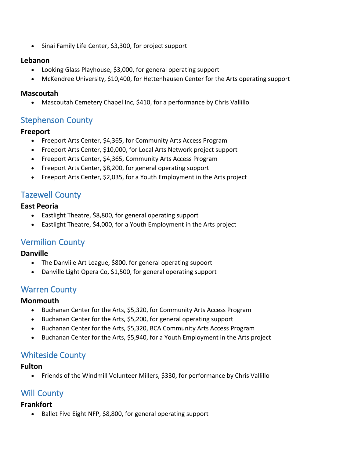• Sinai Family Life Center, \$3,300, for project support

## **Lebanon**

- Looking Glass Playhouse, \$3,000, for general operating support
- McKendree University, \$10,400, for Hettenhausen Center for the Arts operating support

## **Mascoutah**

Mascoutah Cemetery Chapel Inc, \$410, for a performance by Chris Vallillo

# Stephenson County

## **Freeport**

- Freeport Arts Center, \$4,365, for Community Arts Access Program
- Freeport Arts Center, \$10,000, for Local Arts Network project support
- Freeport Arts Center, \$4,365, Community Arts Access Program
- Freeport Arts Center, \$8,200, for general operating support
- Freeport Arts Center, \$2,035, for a Youth Employment in the Arts project

# Tazewell County

## **East Peoria**

- Eastlight Theatre, \$8,800, for general operating support
- Eastlight Theatre, \$4,000, for a Youth Employment in the Arts project

## Vermilion County

## **Danville**

- The Danviile Art League, \$800, for general operating supoort
- Danville Light Opera Co, \$1,500, for general operating support

## Warren County

## **Monmouth**

- Buchanan Center for the Arts, \$5,320, for Community Arts Access Program
- Buchanan Center for the Arts, \$5,200, for general operating support
- Buchanan Center for the Arts, \$5,320, BCA Community Arts Access Program
- Buchanan Center for the Arts, \$5,940, for a Youth Employment in the Arts project

## Whiteside County

## **Fulton**

Friends of the Windmill Volunteer Millers, \$330, for performance by Chris Vallillo

## Will County

## **Frankfort**

• Ballet Five Eight NFP, \$8,800, for general operating support